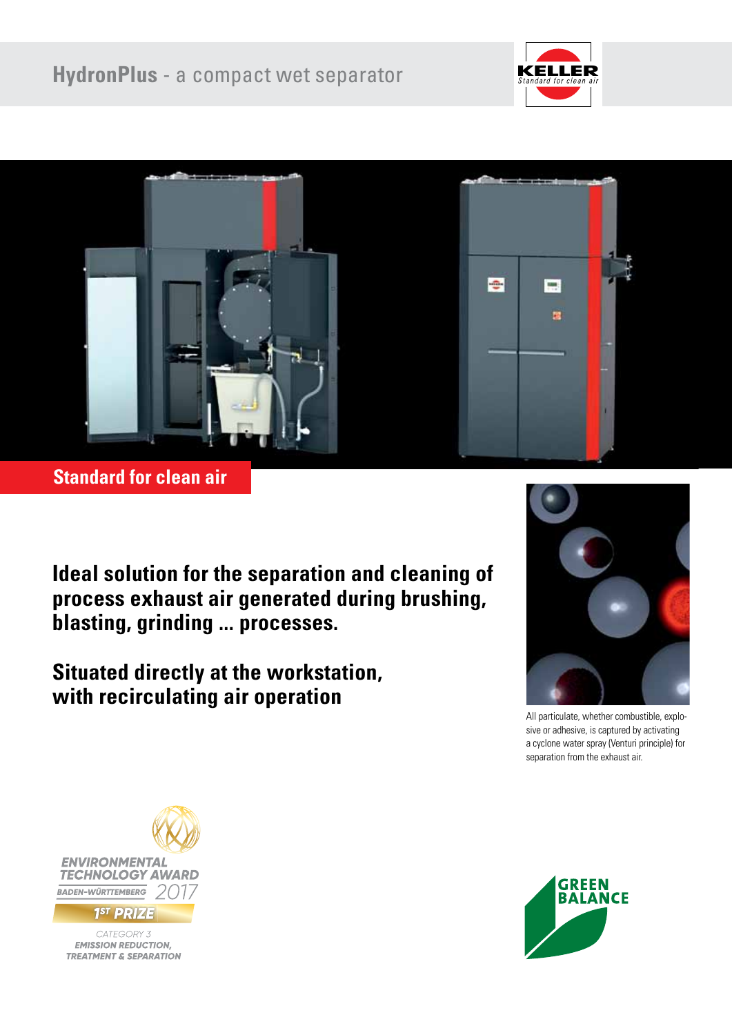



**Standard for clean air**

**Ideal solution for the separation and cleaning of process exhaust air generated during brushing, blasting, grinding ... processes.**

**Situated directly at the workstation, with recirculating air operation**



All particulate, whether combustible, explosive or adhesive, is captured by activating a cyclone water spray (Venturi principle) for separation from the exhaust air.



CATEGORY 3 **EMISSION REDUCTION, TREATMENT & SEPARATION** 

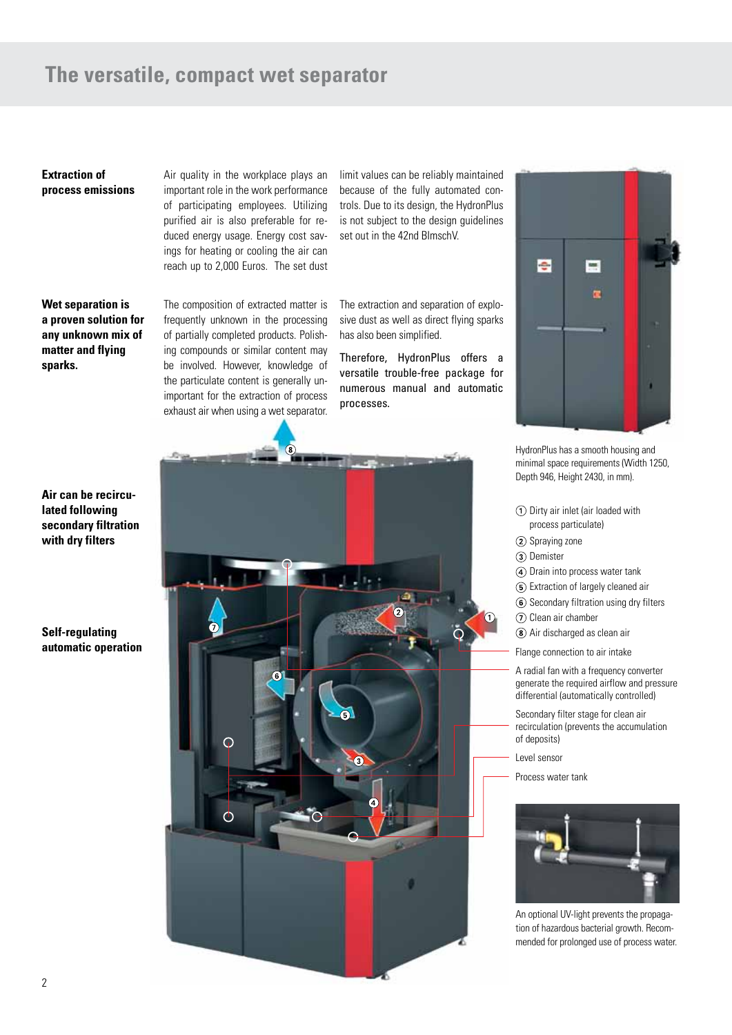# **The versatile, compact wet separator**

**Extraction of process emissions** Air quality in the workplace plays an important role in the work performance of participating employees. Utilizing purified air is also preferable for reduced energy usage. Energy cost savings for heating or cooling the air can reach up to 2,000 Euros. The set dust

limit values can be reliably maintained because of the fully automated controls. Due to its design, the HydronPlus is not subject to the design guidelines set out in the 42nd BImschV.

**Wet separation is a proven solution for any unknown mix of matter and flying sparks.**

The composition of extracted matter is frequently unknown in the processing of partially completed products. Polishing compounds or similar content may be involved. However, knowledge of the particulate content is generally unimportant for the extraction of process exhaust air when using a wet separator.

The extraction and separation of explosive dust as well as direct flying sparks has also been simplified.

Therefore, HydronPlus offers a versatile trouble-free package for numerous manual and automatic processes.





HydronPlus has a smooth housing and minimal space requirements (Width 1250, Depth 946, Height 2430, in mm).

- Dirty air inlet (air loaded with process particulate)
- 2 Spraying zone
- (3) Demister
- Drain into process water tank
- Extraction of largely cleaned air
- Secondary filtration using dry filters
- (7) Clean air chamber
- Air discharged as clean air
- Flange connection to air intake

A radial fan with a frequency converter generate the required airflow and pressure differential (automatically controlled)

Secondary filter stage for clean air recirculation (prevents the accumulation of deposits)

Level sensor

Process water tank



An optional UV-light prevents the propagation of hazardous bacterial growth. Recommended for prolonged use of process water.

**Air can be recirculated following secondary filtration with dry filters**

# **Self-regulating automatic operation**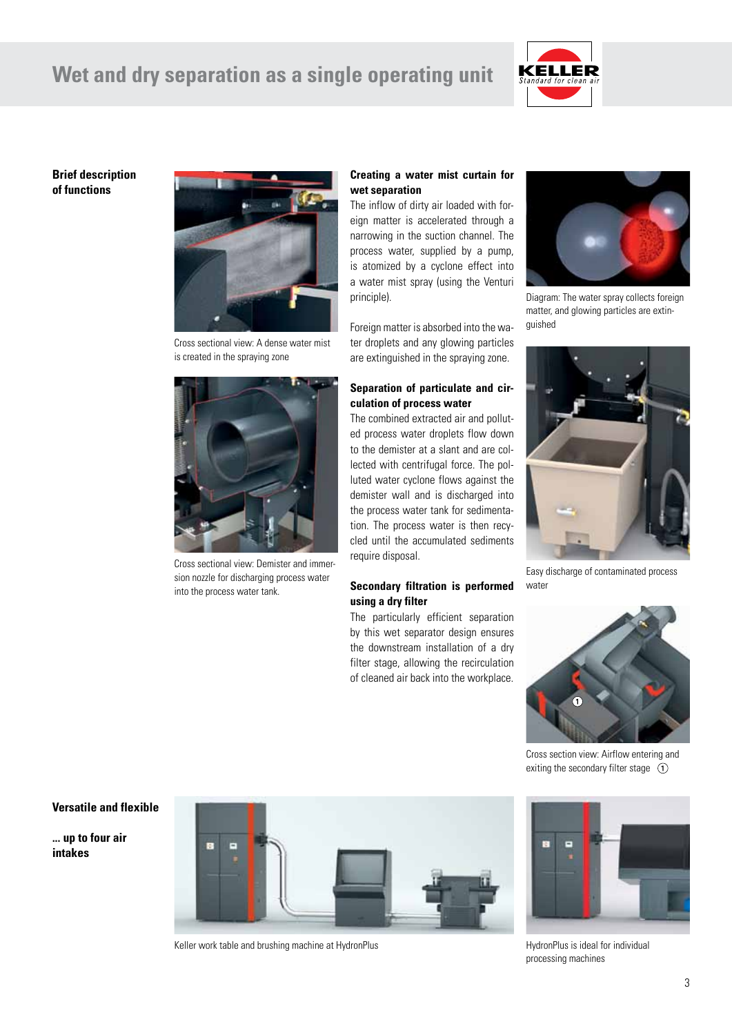# **Wet and dry separation as a single operating unit**



### **Brief description of functions**



Cross sectional view: A dense water mist is created in the spraying zone



Cross sectional view: Demister and immersion nozzle for discharging process water into the process water tank.

# **Creating a water mist curtain for wet separation**

The inflow of dirty air loaded with foreign matter is accelerated through a narrowing in the suction channel. The process water, supplied by a pump, is atomized by a cyclone effect into a water mist spray (using the Venturi principle).

Foreign matter is absorbed into the water droplets and any glowing particles are extinguished in the spraying zone.

### **Separation of particulate and circulation of process water**

The combined extracted air and polluted process water droplets flow down to the demister at a slant and are collected with centrifugal force. The polluted water cyclone flows against the demister wall and is discharged into the process water tank for sedimentation. The process water is then recycled until the accumulated sediments require disposal.

# **Secondary filtration is performed using a dry filter**

The particularly efficient separation by this wet separator design ensures the downstream installation of a dry filter stage, allowing the recirculation of cleaned air back into the workplace.



Diagram: The water spray collects foreign matter, and glowing particles are extinguished



Easy discharge of contaminated process water



Cross section view: Airflow entering and exiting the secondary filter stage  $\circled{1}$ 

#### **Versatile and flexible**

**... up to four air intakes**



Keller work table and brushing machine at HydronPlus



HydronPlus is ideal for individual processing machines